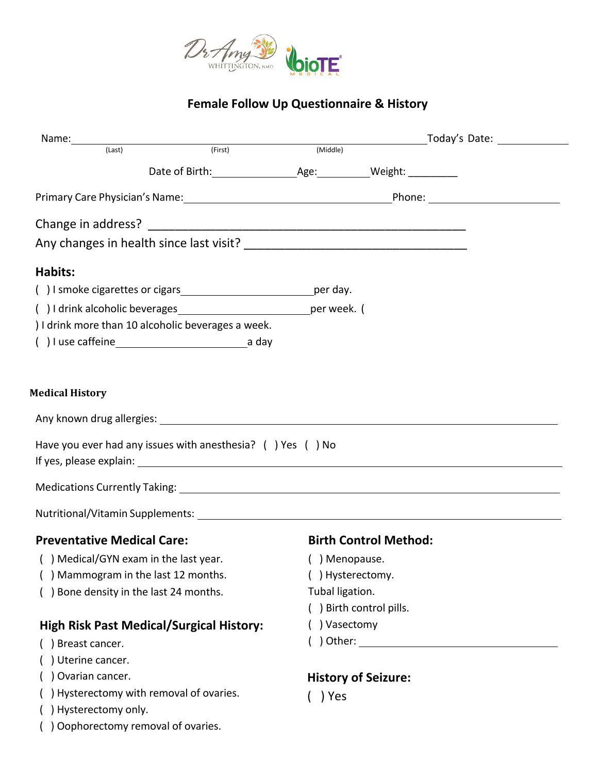

# **Female Follow Up Questionnaire & History**

| Name: (Last) (First) (First) (Middle)                            |                  |                              |  |
|------------------------------------------------------------------|------------------|------------------------------|--|
|                                                                  |                  |                              |  |
| Date of Birth: Age: Meight: _________                            |                  |                              |  |
|                                                                  |                  |                              |  |
|                                                                  |                  |                              |  |
|                                                                  |                  |                              |  |
| <b>Habits:</b>                                                   |                  |                              |  |
|                                                                  |                  |                              |  |
|                                                                  |                  |                              |  |
| ) I drink more than 10 alcoholic beverages a week.               |                  |                              |  |
|                                                                  |                  |                              |  |
|                                                                  |                  |                              |  |
| <b>Medical History</b>                                           |                  |                              |  |
|                                                                  |                  |                              |  |
| Have you ever had any issues with anesthesia? $( )$ Yes $( )$ No |                  |                              |  |
|                                                                  |                  |                              |  |
|                                                                  |                  |                              |  |
|                                                                  |                  |                              |  |
| <b>Preventative Medical Care:</b>                                |                  | <b>Birth Control Method:</b> |  |
| () Medical/GYN exam in the last year.                            | () Menopause.    |                              |  |
| ) Mammogram in the last 12 months.                               | () Hysterectomy. |                              |  |
| ) Bone density in the last 24 months.                            | Tubal ligation.  |                              |  |
|                                                                  |                  | ) Birth control pills.       |  |
| <b>High Risk Past Medical/Surgical History:</b>                  | ) Vasectomy      |                              |  |
| ) Breast cancer.                                                 |                  |                              |  |
| Uterine cancer.                                                  |                  |                              |  |
| Ovarian cancer.                                                  |                  | <b>History of Seizure:</b>   |  |
| Hysterectomy with removal of ovaries.                            | ( )Yes           |                              |  |
| ) Hysterectomy only.                                             |                  |                              |  |
| Oophorectomy removal of ovaries.                                 |                  |                              |  |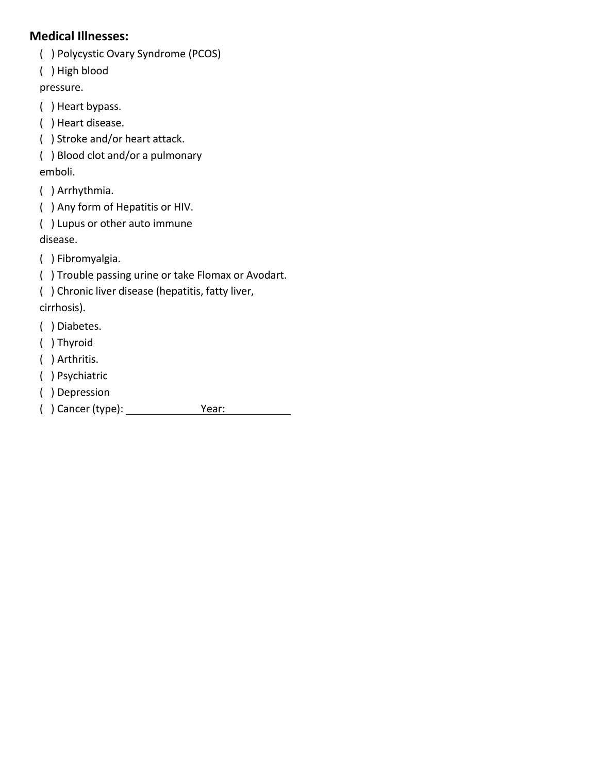#### **Medical Illnesses:**

( ) Polycystic Ovary Syndrome (PCOS)

( ) High blood

pressure.

- ( ) Heart bypass.
- ( ) Heart disease.
- ( ) Stroke and/or heart attack.

() Blood clot and/or a pulmonary emboli.

( ) Arrhythmia.

() Any form of Hepatitis or HIV.

( ) Lupus or other auto immune

disease.

( ) Fibromyalgia.

( ) Trouble passing urine or take Flomax or Avodart.

( ) Chronic liver disease (hepatitis, fatty liver,

cirrhosis).

- ( ) Diabetes.
- ( ) Thyroid
- ( ) Arthritis.
- ( ) Psychiatric
- ( ) Depression
- ( ) Cancer (type): <u>Vear: Year:</u>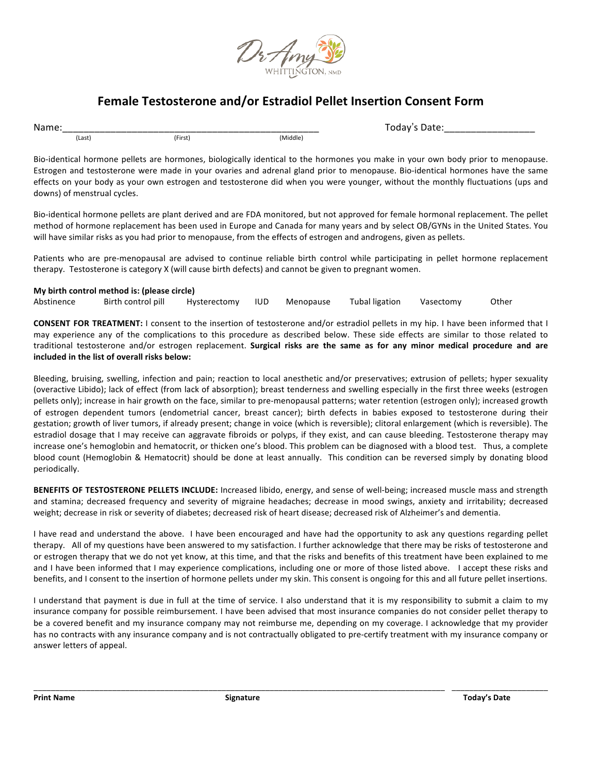

#### **Female Testosterone and/or Estradiol Pellet Insertion Consent Form**

Today's Date:

| N <sub>2</sub><br>٦Ρ |                          |          |  |
|----------------------|--------------------------|----------|--|
| $1$ act              | $(\Gamma_{\text{back}})$ | $\cdots$ |  |
| 117311               | ,,,,,,,                  | (Middle) |  |

Bio-identical hormone pellets are hormones, biologically identical to the hormones you make in your own body prior to menopause. Estrogen and testosterone were made in your ovaries and adrenal gland prior to menopause. Bio-identical hormones have the same effects on your body as your own estrogen and testosterone did when you were younger, without the monthly fluctuations (ups and

Bio-identical hormone pellets are plant derived and are FDA monitored, but not approved for female hormonal replacement. The pellet method of hormone replacement has been used in Europe and Canada for many years and by select OB/GYNs in the United States. You will have similar risks as you had prior to menopause, from the effects of estrogen and androgens, given as pellets.

Patients who are pre-menopausal are advised to continue reliable birth control while participating in pellet hormone replacement therapy. Testosterone is category X (will cause birth defects) and cannot be given to pregnant women.

#### **My birth control method is: (please circle)**

downs) of menstrual cycles.

Abstinence Birth control pill Hysterectomy IUD Menopause Tubal ligation Vasectomy Other

**CONSENT FOR TREATMENT:** I consent to the insertion of testosterone and/or estradiol pellets in my hip. I have been informed that I may experience any of the complications to this procedure as described below. These side effects are similar to those related to traditional testosterone and/or estrogen replacement. **Surgical risks are the same as for any minor medical procedure and are included in the list of overall risks below:**

Bleeding, bruising, swelling, infection and pain; reaction to local anesthetic and/or preservatives; extrusion of pellets; hyper sexuality (overactive Libido); lack of effect (from lack of absorption); breast tenderness and swelling especially in the first three weeks (estrogen pellets only); increase in hair growth on the face, similar to pre-menopausal patterns; water retention (estrogen only); increased growth of estrogen dependent tumors (endometrial cancer, breast cancer); birth defects in babies exposed to testosterone during their gestation; growth of liver tumors, if already present; change in voice (which is reversible); clitoral enlargement (which is reversible). The estradiol dosage that I may receive can aggravate fibroids or polyps, if they exist, and can cause bleeding. Testosterone therapy may increase one's hemoglobin and hematocrit, or thicken one's blood. This problem can be diagnosed with a blood test. Thus, a complete blood count (Hemoglobin & Hematocrit) should be done at least annually. This condition can be reversed simply by donating blood periodically.

**BENEFITS OF TESTOSTERONE PELLETS INCLUDE:** Increased libido, energy, and sense of well-being; increased muscle mass and strength and stamina; decreased frequency and severity of migraine headaches; decrease in mood swings, anxiety and irritability; decreased weight; decrease in risk or severity of diabetes; decreased risk of heart disease; decreased risk of Alzheimer's and dementia.

I have read and understand the above. I have been encouraged and have had the opportunity to ask any questions regarding pellet therapy. All of my questions have been answered to my satisfaction. I further acknowledge that there may be risks of testosterone and or estrogen therapy that we do not yet know, at this time, and that the risks and benefits of this treatment have been explained to me and I have been informed that I may experience complications, including one or more of those listed above. I accept these risks and benefits, and I consent to the insertion of hormone pellets under my skin. This consent is ongoing for this and all future pellet insertions.

I understand that payment is due in full at the time of service. I also understand that it is my responsibility to submit a claim to my insurance company for possible reimbursement. I have been advised that most insurance companies do not consider pellet therapy to be a covered benefit and my insurance company may not reimburse me, depending on my coverage. I acknowledge that my provider has no contracts with any insurance company and is not contractually obligated to pre-certify treatment with my insurance company or answer letters of appeal.

\_\_\_\_\_\_\_\_\_\_\_\_\_\_\_\_\_\_\_\_\_\_\_\_\_\_\_\_\_\_\_\_\_\_\_\_\_\_\_\_\_\_\_\_\_\_\_\_\_\_\_\_\_\_\_\_\_\_\_\_\_\_\_\_\_\_\_\_\_\_\_\_\_\_\_\_\_\_\_\_\_\_\_\_\_\_\_\_\_\_\_\_\_\_ \_\_\_\_\_\_\_\_\_\_\_\_\_\_\_\_\_\_\_\_\_\_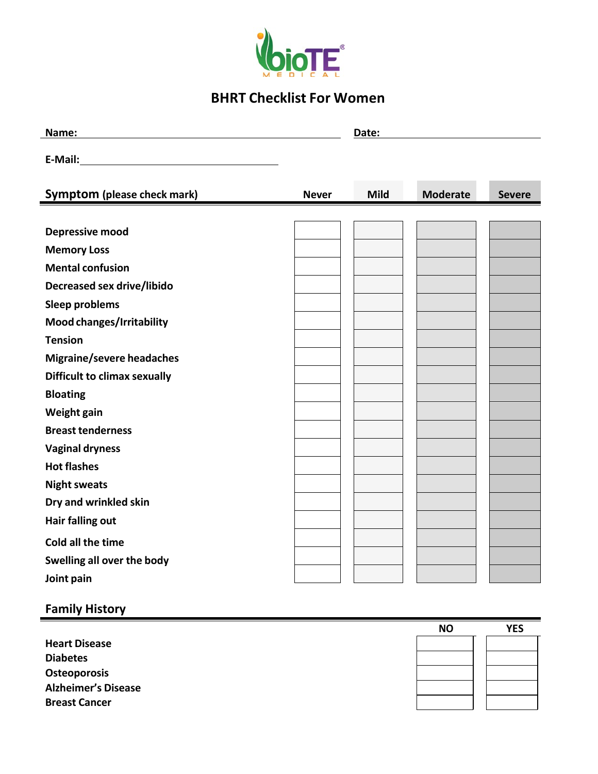

# **BHRT Checklist For Women**

| Name:                                                                                                                             |              | Date:       |                 |               |
|-----------------------------------------------------------------------------------------------------------------------------------|--------------|-------------|-----------------|---------------|
| E-Mail:<br><u> 1989 - Johann Stoff, deutscher Stoffen und der Stoffen und der Stoffen und der Stoffen und der Stoffen und der</u> |              |             |                 |               |
| <b>Symptom (please check mark)</b>                                                                                                | <b>Never</b> | <b>Mild</b> | <b>Moderate</b> | <b>Severe</b> |
|                                                                                                                                   |              |             |                 |               |
| Depressive mood                                                                                                                   |              |             |                 |               |
| <b>Memory Loss</b>                                                                                                                |              |             |                 |               |
| <b>Mental confusion</b>                                                                                                           |              |             |                 |               |
| Decreased sex drive/libido                                                                                                        |              |             |                 |               |
| <b>Sleep problems</b>                                                                                                             |              |             |                 |               |
| Mood changes/Irritability                                                                                                         |              |             |                 |               |
| <b>Tension</b>                                                                                                                    |              |             |                 |               |
| <b>Migraine/severe headaches</b>                                                                                                  |              |             |                 |               |
| <b>Difficult to climax sexually</b>                                                                                               |              |             |                 |               |
| <b>Bloating</b>                                                                                                                   |              |             |                 |               |
| Weight gain                                                                                                                       |              |             |                 |               |
| <b>Breast tenderness</b>                                                                                                          |              |             |                 |               |
| <b>Vaginal dryness</b>                                                                                                            |              |             |                 |               |
| <b>Hot flashes</b>                                                                                                                |              |             |                 |               |
| <b>Night sweats</b>                                                                                                               |              |             |                 |               |
| Dry and wrinkled skin                                                                                                             |              |             |                 |               |
| <b>Hair falling out</b>                                                                                                           |              |             |                 |               |
| Cold all the time                                                                                                                 |              |             |                 |               |
| Swelling all over the body                                                                                                        |              |             |                 |               |
|                                                                                                                                   |              |             |                 |               |

## **Family History**

**Joint pain**

|                            | <b>NO</b> | <b>YES</b> |
|----------------------------|-----------|------------|
| <b>Heart Disease</b>       |           |            |
| <b>Diabetes</b>            |           |            |
| Osteoporosis               |           |            |
| <b>Alzheimer's Disease</b> |           |            |
| <b>Breast Cancer</b>       |           |            |